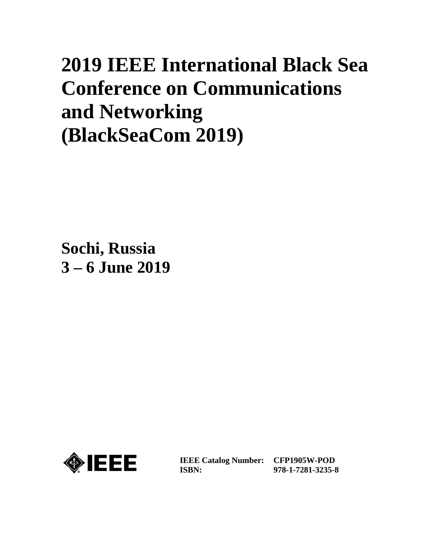# **2019 IEEE International Black Sea Conference on Communications and Networking (BlackSeaCom 2019)**

**Sochi, Russia 3 – 6 June 2019**



**IEEE Catalog Number: CFP1905W-POD ISBN:** 

**978-1-7281-3235-8**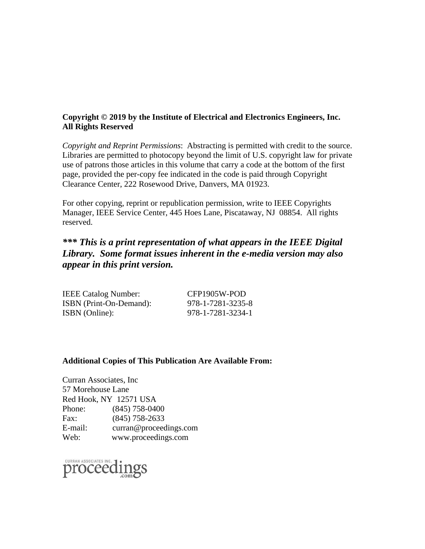#### **Copyright © 2019 by the Institute of Electrical and Electronics Engineers, Inc. All Rights Reserved**

*Copyright and Reprint Permissions*: Abstracting is permitted with credit to the source. Libraries are permitted to photocopy beyond the limit of U.S. copyright law for private use of patrons those articles in this volume that carry a code at the bottom of the first page, provided the per-copy fee indicated in the code is paid through Copyright Clearance Center, 222 Rosewood Drive, Danvers, MA 01923.

For other copying, reprint or republication permission, write to IEEE Copyrights Manager, IEEE Service Center, 445 Hoes Lane, Piscataway, NJ 08854. All rights reserved.

## *\*\*\* This is a print representation of what appears in the IEEE Digital Library. Some format issues inherent in the e-media version may also appear in this print version.*

| <b>IEEE Catalog Number:</b> | CFP1905W-POD      |
|-----------------------------|-------------------|
| ISBN (Print-On-Demand):     | 978-1-7281-3235-8 |
| ISBN (Online):              | 978-1-7281-3234-1 |

#### **Additional Copies of This Publication Are Available From:**

Curran Associates, Inc 57 Morehouse Lane Red Hook, NY 12571 USA Phone: (845) 758-0400 Fax: (845) 758-2633 E-mail: curran@proceedings.com Web: www.proceedings.com

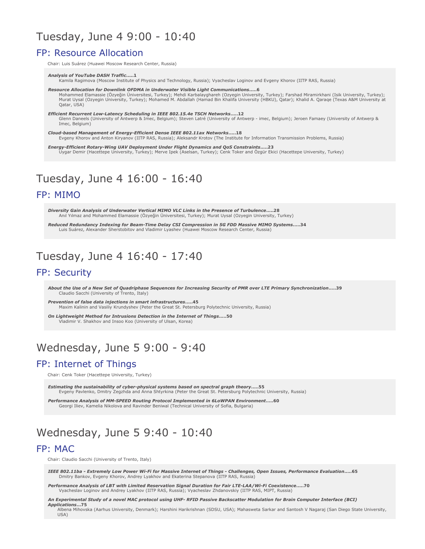## Tuesday, June 4 9:00 - 10:40

## **FP: Resource Allocation**

Chair: Luis Suárez (Huawei Moscow Research Center, Russia)

**Analysis of YouTube DASH Traffic.....1** 

.<br>Kamila Ragimova (Moscow Institute of Physics and Technology, Russia); Vyacheslav Loginov and Evgeny Khorov (IITP RAS, Russia)

Resource Allocation for Downlink OFDMA in Underwater Visible Light Communications.....6 Mohammed Elamassie (Özyeğin Üniversitesi, Turkey); Mehdi Karbalayghareh (Özyeğin University, Turkey); Farshad Miramirkhani (Isik University, Turkey);<br>Mohammed Elamassie (Özyeğin Üniversitesi, Turkey); Mehdi Karbalayghareh Qatar, USA)

Efficient Recurrent Low-Latency Scheduling in IEEE 802.15.4e TSCH Networks.....12 Glenn Daneels (University of Antwerp & Imec, Belgium); Steven Latré (University of Antwerp - imec, Belgium); Jeroen Famaey (University of Antwerp & Imec, Belgium)

Cloud-based Management of Energy-Efficient Dense IEEE 802.11ax Networks...  $\mathcal{Q}$  . 18 Evgeny Khorov and Anton Kiryanov (IITP RAS, Russia); Aleksandr Krotov (The Institute for Information Transmission Problems, Russia)

Energy-Efficient Rotary-Wing UAV Deployment Under Flight Dynamics and QoS Constraints.....23<br>Uygar Demir (Hacettepe University, Turkey); Merve Ipek (Aselsan, Turkey); Cenk Toker and Özgür Ekici (Hacettepe University, Turke

# Tuesday, June 4 16:00 - 16:40

#### FP: MIMO

Diversity Gain Analysis of Underwater Vertical MIMO VLC Links in the Presence of Turbulence.....28 Anıl Yılmaz and Mohammed Elamassie (Özyeğin Üniversitesi, Turkey); Murat Uysal (Ozyegin University, Turkey)

Reduced Redundancy Indexing for Beam-Time Delay CSI Compression in 5G FDD Massive MIMO Systems.....34 Luis Suárez, Alexander Sherstobitov and Vladimir Lyashev (Huawei Moscow Research Center, Russia)

## Tuesday, June 4 16:40 - 17:40

### FP: Security

About the Use of a New Set of Ouadriphase Sequences for Increasing Security of PMR over LTE Primary Synchronization.....39 Claudio Sacchi (University of Trento, Italy)

Prevention of false data injections in smart infrastructures.....45 Maxim Kalinin and Vasiliy Krundyshev (Peter the Great St. Petersburg Polytechnic University, Russia)

On Lightweight Method for Intrusions Detection in the Internet of Things.....50 Vladimir V. Shakhov and Insoo Koo (University of Ulsan, Korea)

# Wednesday, June 5 9:00 - 9:40

## FP: Internet of Things

Chair: Cenk Toker (Hacettepe University, Turkey)

Estimating the sustainability of cyber-physical systems based on spectral graph theory.....55 Evgeny Pavlenko, Dmitry Zegzhda and Anna Shtyrkina (Peter the Great St. Petersburg Polytechnic University, Russia)

Performance Analysis of MM-SPEED Routing Protocol Implemented in 6LoWPAN Environment.....60 Georgi Iliev, Kamelia Nikolova and Ravinder Beniwal (Technical University of Sofia, Bulgaria)

# Wednesday, June 5 9:40 - 10:40

#### **FP: MAC**

Chair: Claudio Sacchi (University of Trento, Italy)

IEEE 802.11ba - Extremely Low Power Wi-Fi for Massive Internet of Things - Challenges, Open Issues, Performance Evaluation.....65 Dmitry Bankov, Evgeny Khorov, Andrey Lyakhov and Ekaterina Stepanova (IITP RAS, Russia

Performance Analysis of LBT with Limited Reservation Signal Duration for Fair LTE-LAA/Wi-Fi Coexistence.....70 Vyacheslav Loginov and Andrey Lyakhov (IITP RAS, Russia); Vyacheslav Zhdanovskiy (IITP RAS, MIPT, Russia)

An Experimental Study of a novel MAC protocol using UHF- RFID Passive Backscatter Modulation for Brain Computer Interface (BCI) Applications...75

...<br>Albena Mihovska (Aarhus University, Denmark); Harshini Harikrishnan (SDSU, USA); Mahasweta Sarkar and Santosh V Nagaraj (San Diego State University, USA)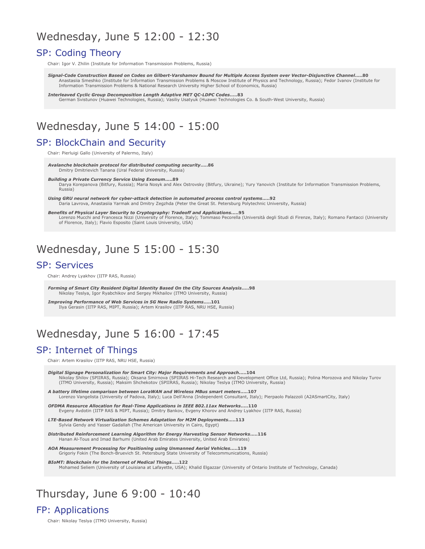# Wednesday, June 5 12:00 - 12:30

## SP: Coding Theory

Chair: Igor V. Zhilin (Institute for Information Transmission Problems, Russia)

**Signal-Code Construction Based on Codes on Gilbert-Varshamov Bound for Multiple Access System over Vector-Disjunctive Channel.....80<br>Anastasiia Smeshko (Institute for Information Transmission Problems & Moscow Institute o** Information Transmission Problems & National Research University Higher School of Economics, Russia)

*5;,93,(=,+@\*30\*96<7,\*6476:0;065,5.;/+(7;0=,# 6+,:.....83* German Svistunov (Huawei Technologies, Russia); Vasiliy Usatyuk (Huawei Technologies Co. & South-West University, Russia)

# Wednesday, June 5 14:00 - 15:00

## SP: BlockChain and Security

Chair: Pierluigi Gallo (University of Palermo, Italy)

**Avalanche blockchain protocol for distributed computing security.....86<br>Dmitry Dmitrievich Tanana (Ural Federal University, Russia)** 

**Building a Private Currency Service Using Exonum.....89** 

Darya Korepanova (Bitfury, Russia); Maria Nosyk and Alex Ostrovsky (Bitfury, Ukraine); Yury Yanovich (Institute for Information Transmission Problems,  $R<sub>II</sub>$ ssia)

**Using GRU neural network for cyber-attack detection in automated process control systems.....92<br>Daria Lavrova, Anastasiia Yarmak and Dmitry Zegzhda (Peter the Great St. Petersburg Polytechnic University, Russia)** 

Benefits of Physical Layer Security to Cryptography: Tradeoff and Applications.....95 Lorenzo Mucchi and Francesca Nizzi (University of Florence, Italy); Tommaso Pecorella (Università degli Studi di Firenze, Italy); Romano Fantacci (University of Florence, Italy); Flavio Esposito (Saint Louis University, USA)

# Wednesday, June 5 15:00 - 15:30

#### **SP: Services**

Chair: Andrey Lyakhov (IITP RAS, Russia)

*69405.6-"4(9;0;@!,:0+,5;0.0;(3+,5;0;@(:,+5;/,0;@"6<9\*,:5(3@:0:.....98* Nikolay Teslya, Igor Ryabchikov and Sergey Mikhailov (ITMO University, Russia)

*Improving Performance of Web Services in 5G New Radio Systems.....101* Ilya Gerasin (IITP RAS, MIPT, Russia); Artem Krasilov (IITP RAS, NRU HSE, Russia)

# Wednesday, June 5 16:00 - 17:45

## SP: Internet of Things

Chair: Artem Krasilov (IITP RAS, NRU HSE, Russia)

*0.0;(3"0.5(.,,9:65(30A(;065-69"4(9;0;@(169!,8<09,4,5;:(5+7796(\*/.....104* Nikolay Shilov (SPIIRAS, Russia); Oksana Smirnova (SPIIRAS Hi-Tech Research and Development Office Ltd, Russia); Polina Morozova and Nikolay Turov<br>(ITMO University, Russia); Maksim Shchekotov (SPIIRAS, Russia); Nikolay Tes

*)(;;,9@30-,;04,\*647(90:65),;>,,569(&(5+&09,3,::<::4(9;4,;,9:.....107* Lorenzo Vangelista (University of Padova, Italy); Luca Dell'Anna (Independent Consultant, Italy); Pierpaolo Palazzoli (A2ASmartCity, Italy)

**OFDMA Resource Allocation for Real-Time Applications in IEEE 802.11ax Networks.....110** Evgeny Avdotin (IITP RAS & MIPT, Russia); Dmitry Bankov, Evgeny Khorov and Andrey Lyakhov (IITP RAS, Russia)

**LTE-Based Network Virtualization Schemes Adaptation for M2M Deployments.....113** Sylvia Gendy and Yasser Gadallah (The American University in Cairo, Eqypt)

*0:;90)<;,+!,05-69\*,4,5;,(9505.3.690;/4-695,9.@(9=,:;05.",5:69,;>692:.....116* Hanan Al-Tous and Imad Barhumi (United Arab Emirates University, United Arab Emirates)

AOA Measurement Processing for Positioning using Unmanned Aerial Vehicles.....119 Grigoriy Fokin (The Bonch-Bruevich St. Petersburg State University of Telecommunications, Russia)

*BIoMT: Blockchain for the Internet of Medical Things.....122* Mohamed Seliem (University of Louisiana at Lafayette, USA); Khalid Elgazzar (University of Ontario Institute of Technology, Canada)

# Thursday, June 6 9:00 - 10:40

## FP: Applications

Chair: Nikolay Teslya (ITMO University, Russia)